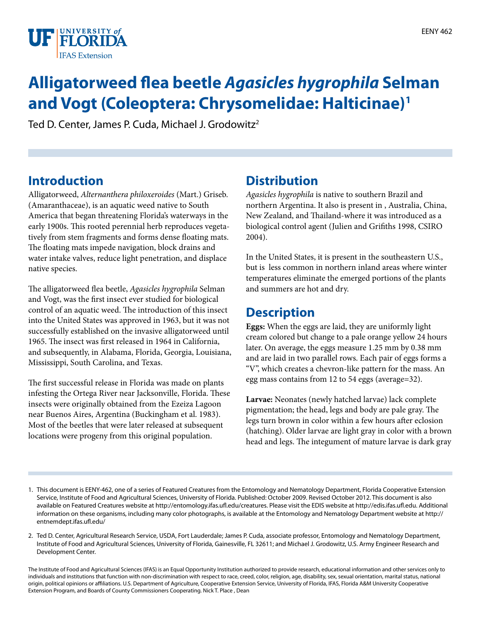

# **Alligatorweed flea beetle** *Agasicles hygrophila* **Selman and Vogt (Coleoptera: Chrysomelidae: Halticinae)1**

Ted D. Center, James P. Cuda, Michael J. Grodowitz<sup>2</sup>

# **Introduction**

Alligatorweed, *Alternanthera philoxeroides* (Mart.) Griseb. (Amaranthaceae), is an aquatic weed native to South America that began threatening Florida's waterways in the early 1900s. This rooted perennial herb reproduces vegetatively from stem fragments and forms dense floating mats. The floating mats impede navigation, block drains and water intake valves, reduce light penetration, and displace native species.

The alligatorweed flea beetle, *Agasicles hygrophila* Selman and Vogt, was the first insect ever studied for biological control of an aquatic weed. The introduction of this insect into the United States was approved in 1963, but it was not successfully established on the invasive alligatorweed until 1965. The insect was first released in 1964 in California, and subsequently, in Alabama, Florida, Georgia, Louisiana, Mississippi, South Carolina, and Texas.

The first successful release in Florida was made on plants infesting the Ortega River near Jacksonville, Florida. These insects were originally obtained from the Ezeiza Lagoon near Buenos Aires, Argentina (Buckingham et al. 1983). Most of the beetles that were later released at subsequent locations were progeny from this original population.

#### **Distribution**

*Agasicles hygrophila* is native to southern Brazil and northern Argentina. It also is present in , Australia, China, New Zealand, and Thailand-where it was introduced as a biological control agent (Julien and Grifiths 1998, CSIRO 2004).

In the United States, it is present in the southeastern U.S., but is less common in northern inland areas where winter temperatures eliminate the emerged portions of the plants and summers are hot and dry.

#### **Description**

**Eggs:** When the eggs are laid, they are uniformly light cream colored but change to a pale orange yellow 24 hours later. On average, the eggs measure 1.25 mm by 0.38 mm and are laid in two parallel rows. Each pair of eggs forms a "V", which creates a chevron-like pattern for the mass. An egg mass contains from 12 to 54 eggs (average=32).

**Larvae:** Neonates (newly hatched larvae) lack complete pigmentation; the head, legs and body are pale gray. The legs turn brown in color within a few hours after eclosion (hatching). Older larvae are light gray in color with a brown head and legs. The integument of mature larvae is dark gray

<sup>1.</sup> This document is EENY-462, one of a series of Featured Creatures from the Entomology and Nematology Department, Florida Cooperative Extension Service, Institute of Food and Agricultural Sciences, University of Florida. Published: October 2009. Revised October 2012. This document is also available on Featured Creatures website at http://entomology.ifas.ufl.edu/creatures. Please visit the EDIS website at http://edis.ifas.ufl.edu. Additional information on these organisms, including many color photographs, is available at the Entomology and Nematology Department website at http:// entnemdept.ifas.ufl.edu/

<sup>2.</sup> Ted D. Center, Agricultural Research Service, USDA, Fort Lauderdale; James P. Cuda, associate professor, Entomology and Nematology Department, Institute of Food and Agricultural Sciences, University of Florida, Gainesville, FL 32611; and Michael J. Grodowitz, U.S. Army Engineer Research and Development Center.

The Institute of Food and Agricultural Sciences (IFAS) is an Equal Opportunity Institution authorized to provide research, educational information and other services only to individuals and institutions that function with non-discrimination with respect to race, creed, color, religion, age, disability, sex, sexual orientation, marital status, national origin, political opinions or affiliations. U.S. Department of Agriculture, Cooperative Extension Service, University of Florida, IFAS, Florida A&M University Cooperative Extension Program, and Boards of County Commissioners Cooperating. Nick T. Place , Dean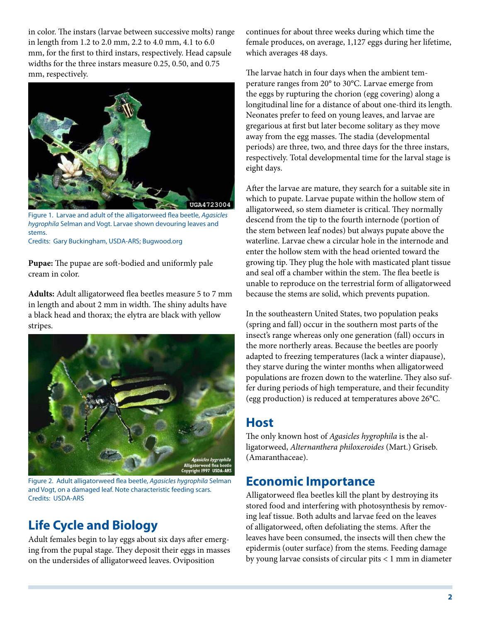in color. The instars (larvae between successive molts) range in length from 1.2 to 2.0 mm, 2.2 to 4.0 mm, 4.1 to 6.0 mm, for the first to third instars, respectively. Head capsule widths for the three instars measure 0.25, 0.50, and 0.75 mm, respectively.



Figure 1. Larvae and adult of the alligatorweed flea beetle, *Agasicles hygrophila* Selman and Vogt. Larvae shown devouring leaves and stems.

Credits: Gary Buckingham, USDA-ARS; Bugwood.org

**Pupae:** The pupae are soft-bodied and uniformly pale cream in color.

**Adults:** Adult alligatorweed flea beetles measure 5 to 7 mm in length and about 2 mm in width. The shiny adults have a black head and thorax; the elytra are black with yellow stripes.



Figure 2. Adult alligatorweed flea beetle, *Agasicles hygrophila* Selman and Vogt, on a damaged leaf. Note characteristic feeding scars. Credits: USDA-ARS

# **Life Cycle and Biology**

Adult females begin to lay eggs about six days after emerging from the pupal stage. They deposit their eggs in masses on the undersides of alligatorweed leaves. Oviposition

continues for about three weeks during which time the female produces, on average, 1,127 eggs during her lifetime, which averages 48 days.

The larvae hatch in four days when the ambient temperature ranges from 20° to 30°C. Larvae emerge from the eggs by rupturing the chorion (egg covering) along a longitudinal line for a distance of about one-third its length. Neonates prefer to feed on young leaves, and larvae are gregarious at first but later become solitary as they move away from the egg masses. The stadia (developmental periods) are three, two, and three days for the three instars, respectively. Total developmental time for the larval stage is eight days.

After the larvae are mature, they search for a suitable site in which to pupate. Larvae pupate within the hollow stem of alligatorweed, so stem diameter is critical. They normally descend from the tip to the fourth internode (portion of the stem between leaf nodes) but always pupate above the waterline. Larvae chew a circular hole in the internode and enter the hollow stem with the head oriented toward the growing tip. They plug the hole with masticated plant tissue and seal off a chamber within the stem. The flea beetle is unable to reproduce on the terrestrial form of alligatorweed because the stems are solid, which prevents pupation.

In the southeastern United States, two population peaks (spring and fall) occur in the southern most parts of the insect's range whereas only one generation (fall) occurs in the more northerly areas. Because the beetles are poorly adapted to freezing temperatures (lack a winter diapause), they starve during the winter months when alligatorweed populations are frozen down to the waterline. They also suffer during periods of high temperature, and their fecundity (egg production) is reduced at temperatures above 26°C.

#### **Host**

The only known host of *Agasicles hygrophila* is the alligatorweed, *Alternanthera philoxeroides* (Mart.) Griseb. (Amaranthaceae).

# **Economic Importance**

Alligatorweed flea beetles kill the plant by destroying its stored food and interfering with photosynthesis by removing leaf tissue. Both adults and larvae feed on the leaves of alligatorweed, often defoliating the stems. After the leaves have been consumed, the insects will then chew the epidermis (outer surface) from the stems. Feeding damage by young larvae consists of circular pits < 1 mm in diameter